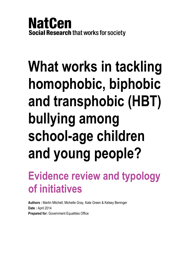**NatCen Social Research that works for society** 

# **What works in tackling homophobic, biphobic and transphobic (HBT) bullying among school-age children and young people?**

**Evidence review and typology of initiatives**

**Authors :** Martin Mitchell, Michelle Gray, Kate Green & Kelsey Beninger **Date :** April 2014 **Prepared for:** Government Equalities Office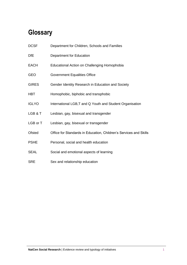# **Glossary**

| <b>DCSF</b>  | Department for Children, Schools and Families                     |
|--------------|-------------------------------------------------------------------|
| <b>DfE</b>   | Department for Education                                          |
| <b>EACH</b>  | Educational Action on Challenging Homophobia                      |
| <b>GEO</b>   | Government Equalities Office                                      |
| <b>GIRES</b> | Gender Identity Research in Education and Society                 |
| HBT          | Homophobic, biphobic and transphobic                              |
| <b>IGLYO</b> | International LGB, T and Q Youth and Student Organisation         |
| LGB & T      | Lesbian, gay, bisexual and transgender                            |
| LGB or T     | Lesbian, gay, bisexual or transgender                             |
| Ofsted       | Office for Standards in Education, Children's Services and Skills |
| <b>PSHE</b>  | Personal, social and health education                             |
| <b>SEAL</b>  | Social and emotional aspects of learning                          |
| <b>SRE</b>   | Sex and relationship education                                    |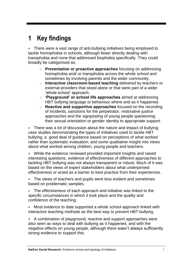# **1 Key findings**

 There were a vast range of anti-bullying initiatives being employed to tackle homophobia in schools, although fewer directly dealing with transphobia and none that addressed biophobia specifically. They could broadly be categorised as:

- o **Preventative or proactive approaches** focusing on addressing homophobia and/ or transphobia across the whole school and sometimes by involving parents and the wider community.
- o **Interactive classroom-based teaching** delivered by teachers or external providers that stood alone or that were part of a wider 'whole school' approach.
- o **'Playground' or school life approaches** aimed at addressing HBT bullying language or behaviour where and as it happened.
- o **Reactive and supportive approaches** focused on the recording of incidents, sanctions for the perpetrator, restorative justice approaches and the signposting of young people questioning their sexual orientation or gender identity to appropriate support.

• There was a lot of discussion about the nature and impact of bullying: case studies demonstrating the types of initiatives used to tackle HBT bullying; a good deal of guidance based on perceptions of what worked rather than systematic evaluation; and some qualitative insight into views about what worked among children, young people and teachers.

 While the evidence reviewed provided important insights and raised interesting questions, evidence of effectiveness of different approaches to tackling HBT bullying was not always transparent or robust. Much of it was based on the views of expert stakeholders about what underpinned effectiveness or acted as a barrier to best practice from their experiences.

 The views of teachers and pupils were less evident and sometimes based on problematic samples.

 The effectiveness of each approach and initiative was linked to the specific circumstances in which it took place and the quality and confidence of the teaching.

• Most evidence to date supported a whole school approach linked with interactive teaching methods as the best way to prevent HBT bullying.

 A combination of playground, reactive and support approaches were also seen as ways to deal with bullying as it happened, and with the negative effects on young people, although there wasn't always sufficiently strong evidence to support this.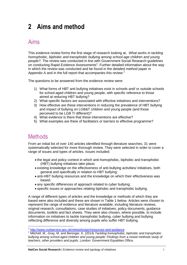# **2 Aims and method**

## Aims

This evidence review forms the first stage of research looking at, *What works in tackling homophobic, biphobic and transphobic bullying among school-age children and young people?.* The review was conducted in line with Government Social Research guidelines on conducting Rapid Evidence Assessments<sup>1</sup>. Further detailed information about the way in which the review was conducted and be found in the detailed method paper in Appendix A and in the full report that accompanies this review.<sup>2</sup>

The questions to be answered from the evidence review were:

- 1) What forms of HBT anti bullying initiatives exist in schools and/ or outside schools for school-aged children and young people, with specific reference to those aimed at reducing HBT bullying?
- 2) What specific factors are associated with effective initiatives and interventions?
- 3) How effective are these interventions in reducing the prevalence of HBT bullying and impact of bullying on LGB&T children and young people (and those perceived to be LGB T/ different)?
- 4) What evidence is there that these interventions are effective?
- 5) What examples are there of facilitators or barriers to effective programme?

## **Methods**

From an initial list of over 140 articles identified through literature searches, 31 were systematically selected for more thorough review. They were selected in order to cover a range of issues and types of articles. *Issues* included:

- the legal and policy context in which anti-homophobic, biphobic and transphobic (HBT) bullying initiatives take place;
- existing knowledge on the effectiveness of anti-bullying activities/ initiatives, both general and specifically in relation to HBT bullying;
- anti-HBT bullying resources and the knowledge on which their effectiveness was based;
- any specific differences of approach related to cyber bullying:
- specific issues or approaches relating biphobic and transphobic bullying.

A range of different *types of articles* and the knowledge or methods of which they are based were also included and these are shown in Table 1 below. Articles were chosen to represent the range of evidence and literature available, including literature reviews, original research, consultations, case studies of initiatives, policy documents, guidance documents, toolkits and fact sheets. They were also chosen, where possible, to include information on initiatives to tackle transphobic bullying, cyber bullying and bullying reflecting difference and diversity among pupils who suffer HBT bullying.

1 <http://www.civilservice.gov.uk/networks/gsr/resources-and-guidance>

<sup>2</sup> Mitchell, M., Gray, M. and Beninger, K. (2014) *Tackling homophobic, biphobic and transphobic bullying among school-aged children and young people: Findings from a mixed methods study of teachers, other providers and pupils*, London: Government Equalities Office.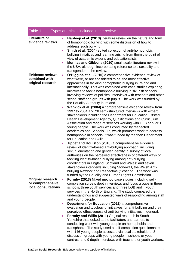| Table 1                                                       | Types of articles included in the review                                                                                                                                                                                                                                                                                                                                                                                                                                                                                                                                                                                                                                                                                                                                                                                                                                                                                                                                                                                                                                                                                                                                                                                                                                                                                                                                                                                                                                                                                                                                       |
|---------------------------------------------------------------|--------------------------------------------------------------------------------------------------------------------------------------------------------------------------------------------------------------------------------------------------------------------------------------------------------------------------------------------------------------------------------------------------------------------------------------------------------------------------------------------------------------------------------------------------------------------------------------------------------------------------------------------------------------------------------------------------------------------------------------------------------------------------------------------------------------------------------------------------------------------------------------------------------------------------------------------------------------------------------------------------------------------------------------------------------------------------------------------------------------------------------------------------------------------------------------------------------------------------------------------------------------------------------------------------------------------------------------------------------------------------------------------------------------------------------------------------------------------------------------------------------------------------------------------------------------------------------|
| Literature or<br>evidence reviews                             | Hardeep et al. (2013) literature review on the nature and form<br>of homophobic bullying with some discussion of how to<br>address such bullying.<br>Smith et al. (2004) edited collection of anti-homophobic<br>$\bullet$<br>bullying initiatives and learning arising from them the point of<br>view of academic experts and educationalists.<br>Morillas and Gibbons (2010) small-scale literature review in<br>$\bullet$<br>the USA, although incorporating reference to bisexuality and<br>transgender in the review.                                                                                                                                                                                                                                                                                                                                                                                                                                                                                                                                                                                                                                                                                                                                                                                                                                                                                                                                                                                                                                                     |
| <b>Evidence reviews</b><br>combined with<br>original research | O'Higgins et al. (2010) a comprehensive evidence review of<br>$\bullet$<br>what were, or are considered to be, the most effective<br>approaches in tackling homophobic bullying in Ireland and<br>internationally. This was combined with case studies exploring<br>initiatives to tackle homophobic bullying in six Irish schools,<br>involving reviews of policies, interviews with teachers and other<br>school staff and groups with pupils. The work was funded by<br>the Equality Authority in Ireland.<br>Warwick et al. (2004) a comprehensive evidence review from<br>$\bullet$<br>1997 to 2004 and 28 semi-structured interviews with expert<br>stakeholders including the Department for Education, Ofsted,<br>Health Development Agency, Qualifications and Curriculum<br>Association and range of services working with LGB and/ or T<br>young people. The work was conducted by respected<br>academics and Schools Out, which promotes work to address<br>homophobia in schools. It was funded by the then Department<br>for Education and Skills.<br>Tippet and Houlston (2010) a comprehensive evidence<br>$\bullet$<br>review of identity-based anti-bullying approach, including<br>sexual orientation and gender identity; a survey of local<br>authorities on the perceived effectiveness of different ways of<br>tackling identity-based bullying among anti-bullying<br>coordinators in England, Scotland and Wales; and seven<br>stakeholder interviews including Stonewall, the Welsh Anti-<br>bullying Network and Respectme (Scotland). The work was |
| <b>Original research</b><br>or comprehensive                  | funded by the Equality and Human Rights Commission.<br>Formby (2013) Mixed method case studies including self-<br>$\bullet$<br>completion survey, depth interviews and focus groups in three                                                                                                                                                                                                                                                                                                                                                                                                                                                                                                                                                                                                                                                                                                                                                                                                                                                                                                                                                                                                                                                                                                                                                                                                                                                                                                                                                                                   |
| local consultations                                           | schools, three youth services and three LGB and T youth<br>services in the North of England. The study compared the<br>understandings and suggested ways of responding among staff<br>and young people.<br>Department for Education (2011) a comprehensive<br>evaluation and typology of initiatives for anti-bullying and their<br>perceived effectiveness of anti-bullying initiatives in general.<br>Formby and Willis (2011) Original research in South<br>Yorkshire that looked at the facilitators and barriers to<br>conducting work with young people on homophobia and                                                                                                                                                                                                                                                                                                                                                                                                                                                                                                                                                                                                                                                                                                                                                                                                                                                                                                                                                                                                |
|                                                               | transphobia. The study used a self-completion questionnaire<br>with 146 young people accessed via local stakeholders; 8<br>discussion groups with young people in schools or youth<br>centres; and 9 depth interviews with teachers or youth workers.                                                                                                                                                                                                                                                                                                                                                                                                                                                                                                                                                                                                                                                                                                                                                                                                                                                                                                                                                                                                                                                                                                                                                                                                                                                                                                                          |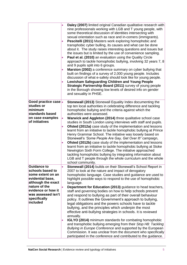|                                     | $\bullet$ | Daley (2007) limited original Canadian qualitative research with   |  |  |
|-------------------------------------|-----------|--------------------------------------------------------------------|--|--|
|                                     |           | nine professionals working with LGB and T young people, with       |  |  |
|                                     |           | some theoretical discussion of identities intersecting with        |  |  |
|                                     |           | sexual orientation such as race and in-comers (immigrants).        |  |  |
|                                     |           | Pescitelli (2011) Masters work exploring homophobic and            |  |  |
|                                     |           |                                                                    |  |  |
|                                     |           | transphobic cyber bulling, its causes and what can be done         |  |  |
|                                     |           | about it. The study raises interesting questions and issues but    |  |  |
|                                     |           | the issues but is limited by the use of convenience sampling.      |  |  |
|                                     | $\bullet$ | Paul et al. (2010) an evaluation using the Quality Circle          |  |  |
|                                     |           | approach to tackle homophobic bullying, involving 32 years 7, 8    |  |  |
|                                     |           | and 9 pupils split into 6 groups.                                  |  |  |
|                                     |           | Marston (2002) a conference summary on cyber bullying that         |  |  |
|                                     |           | built on findings of a survey of 2,000 young people. Includes      |  |  |
|                                     |           | discussion of what e-safety should look like for young people.     |  |  |
|                                     |           | Lewisham Safeguarding Children and Young People                    |  |  |
|                                     |           | Strategic Partnership Board (2011) survey of young people          |  |  |
|                                     |           | in the Borough showing low levels of desired info on gender        |  |  |
|                                     |           | and sexuality in PHSE.                                             |  |  |
|                                     |           |                                                                    |  |  |
|                                     |           |                                                                    |  |  |
| Good practice case.                 |           | Stonewall (2013) Stonewall Equality Index documenting the          |  |  |
| studies or                          |           | top ten local authorities in celebrating difference and tackling   |  |  |
| minimum                             |           | homophobic bullying and the criteria against which the             |  |  |
| standards based                     |           | authorities were assessed.                                         |  |  |
| on case examples                    | $\bullet$ | Warwick and Aggleton (2014) three qualitative school case          |  |  |
| of initiatives                      |           | studies in South London using interviews with staff and pupils.    |  |  |
|                                     | $\bullet$ | Ofsted (2012a) case study of the implementation and lessons        |  |  |
|                                     |           | learnt from an initiative to tackle homophobic bullying at Prince  |  |  |
|                                     |           | Henry Grammar School. The initiative was loosely based on          |  |  |
|                                     |           | Stonewall's 'Some People Are Gay, Get Over It!' campaign,          |  |  |
|                                     | $\bullet$ | <b>Ofsted (2012b)</b> case study of the implementation and lessons |  |  |
|                                     |           | learnt from an initiative to tackle homophobic bullying at Stoke   |  |  |
|                                     |           | Newington Sixth Form College. The initiative approached            |  |  |
|                                     |           | tackling homophobic bullying by integrating information about      |  |  |
|                                     |           | LGB and T people through the whole curriculum and the whole        |  |  |
|                                     |           | school community.                                                  |  |  |
| <b>Guidance to</b>                  | $\bullet$ | Stonewall (2014) builds on their Stonewall's School Report in      |  |  |
| schools based to                    |           | 2007 to look at the nature and impact of derogatory                |  |  |
| some extent on an                   |           | homophobic language. Case studies and guidance are used to         |  |  |
| evidential base,                    |           |                                                                    |  |  |
|                                     |           | highlight possible ways to respond to the use of homophobic        |  |  |
| although the exact<br>nature of the |           | language.                                                          |  |  |
|                                     |           | Department for Education (2013) guidance to head teachers,         |  |  |
| evidence or how it                  |           | staff and governing bodies on how to help schools prevent          |  |  |
| was assessed isn't                  |           | and respond to bullying as part of their overall behaviour         |  |  |
| specifically                        |           | policy. It outlines the Government's approach to bullying,         |  |  |
| included                            |           | legal obligations and the powers schools have to tackle            |  |  |
|                                     |           | bullying, and the principles which underpin the most               |  |  |
|                                     |           | effective anti-bullying strategies in schools. It is reviewed      |  |  |
|                                     |           | annually.                                                          |  |  |
|                                     | $\bullet$ | IGLYO (2014) minimum standards for combating homophobic            |  |  |
|                                     |           | and transphobic bullying emerging from their Stop H8: Tackling     |  |  |
|                                     |           |                                                                    |  |  |
|                                     |           | Bullying in Europe Conference and supported by the European        |  |  |
|                                     |           | Commission. It was unclear from the document who specifically      |  |  |
|                                     |           | participated in the conference and contributed to the guidance.    |  |  |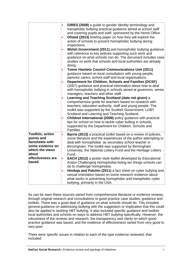|                                                                                                                                        | GIRES (2008) a guide to gender identity terminology and<br>$\bullet$<br>transphobic bullying practical guidance aimed at school staff<br>and covering pupils and staff, sponsored by the Home Office.<br>Ofsted (2013) briefing paper on how they will explore the<br>action of schools to prevent homophobic bullying during<br>inspections.<br>Welsh Government (2011) anti-homophobic bullying guidance<br>with reference to key policies supporting such work and<br>guidance on what schools can do. The document includes case<br>studies on work that schools and local authorities are already<br>doing.<br><b>Tower Hamlets Council Communications Unit (2011)</b><br>$\bullet$<br>guidance based on local consultation with young people,                                                   |
|----------------------------------------------------------------------------------------------------------------------------------------|-------------------------------------------------------------------------------------------------------------------------------------------------------------------------------------------------------------------------------------------------------------------------------------------------------------------------------------------------------------------------------------------------------------------------------------------------------------------------------------------------------------------------------------------------------------------------------------------------------------------------------------------------------------------------------------------------------------------------------------------------------------------------------------------------------|
|                                                                                                                                        | parents/ carers, school staff and local organisations.<br>Department for Children, Schools and Families (DCSF)<br>(2007) guidance and practical information about how to deal<br>with homophobic bullying in schools aimed at governors, senior<br>managers, teachers and other staff.<br>Learning and Teaching Scotland (date not given) a<br>$\bullet$<br>comprehensive guide for teachers based on research with<br>teachers, education authority, staff and young people. The<br>toolkit was supported by the Scottish Government, LGBT<br>Scotland and Learning and Teaching Scotland.<br>Childnet International (2009) policy guidance with practical<br>tips for school on how to tackle cyber bulling in schools,<br>supported by the Department for Children, Schools and<br><b>Families</b> |
| <b>Toolkits, action</b><br>points and<br>factsheets with<br>some evidence on<br>which the views<br>about<br>effectiveness are<br>based | Barrie (2013) a practical toolkit based on a review of policies,<br>$\bullet$<br>some literature and the experiences of the author attempting to<br>deal with homophobia as secondary school teacher in<br>Birmingham. The toolkit was supported by Birmingham<br>University, the National Lottery Fund and the Heritage Lottery<br>Fund.<br><b>EACH (2012)</b> a poster-style leaflet developed by Educational<br>$\bullet$<br>Action Challenging Homophobia listing ten things schools can<br>do to challenge homophobia.<br>Hinduja and Patchin (2011) a fact sheet on cyber bullying and<br>$\bullet$<br>sexual orientation based on some research evidence about<br>what works in preventing homophobic and transphobic cyber<br>bullying, primarily in the USA.                                 |

As can be seen these sources varied from comprehensive literature or evidence reviews, through original research and consultations to good practice case studies, guidance and toolkits. There was a good deal of guidance on what schools should do. This included general guidance on addressing bullying with the suggestion or implication that this could also be applied in tackling HBT bullying. It also included specific guidance and toolkits local authorities and schools on ways to address HBT bullying specifically. However, the robustness of the reviews and research, the transparency and clarity on which good practice guidance was based, and the evidence of effectiveness varied from very good to very poor.

There were specific issues in relation to each of the type evidence reviewed, that included: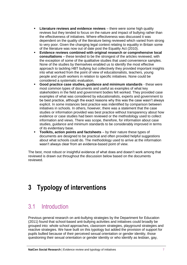- **Literature reviews and evidence reviews**  there were some high quality reviews but they tended to focus on the nature and impact of bullying rather than the effectiveness of initiatives. Where effectiveness was discussed it was dependent on the quality of the literature being reviewed which varied from strong to very poor. Given the changing legal context relating to equality in Britain some of the literature was now out of date post the Equality Act (2010).
- **Evidence reviews combined with original research or comprehensive local consultations** – these tended to be the strongest of the articles reviewed, with the exception of some of the qualitative studies that used convenience samples. None of the studies by themselves enabled us to identify the most effective approach to tackling HBT bullying but collectively they provided important insights into what worked from the point of view of educationalists, teachers, young people and youth workers in relation to specific initiatives. None could be considered a systematic evaluation.
- **Good practice case studies, guidance and minimum standards**  these were most common types of documents and useful as examples of what key stakeholders in the field and government bodies felt worked. They provided case examples of what was considered by educationalists, experts and government to be best practice, although the exact reasons why this was the case wasn't always explicit. In some instances best practice was indentified by comparison between initiatives in schools. In others, however, there was a statement that the case studies or information provided was best practice without transparency about how evidence or case studies had been reviewed or the methodology used to collect information and views. There was scope, therefore, for information about case studies, guidance and minimum standards to be considerably improved in terms of its evidentiary base.
- **Toolkits, action points and factsheets** by their nature these types of documents are designed to be practical and often provided helpful suggestions about what schools could do. The methodology used to arrive at the information wasn't always clear from an evidence-based point of view.

The best, most robust or insightful evidence of what does and doesn't work among that reviewed is drawn out throughout the discussion below based on the documents reviewed.

# **3 Typology of interventions**

## 3.1 Introduction

Previous general research on anti-bullying strategies by the Department for Education (2011) found that school-based anti-bullying activities and initiatives could broadly be grouped into: whole school approaches, classroom strategies, playground strategies and reactive strategies. We have built on this typology but added the provision of support for pupils bullied because of their perceived sexual orientation or gender identity, those questioning their sexual orientation or gender identity or who identify as lesbian, gay,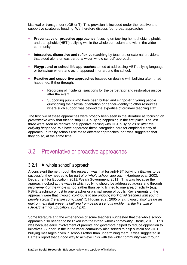bisexual or transgender (LGB or T). This provision is included under the reactive and supportive strategies heading. We therefore discuss four broad approaches.

- **Preventative or proactive approaches** focusing on tackling homophobic, biphobic and transphobic (HBT ) bullying within the whole curriculum and within the wider community.
- **Interactive, discursive and reflexive teaching** by teachers or external providers that stood alone or was part of a wider 'whole school' approach.
- **Playground or school life approaches** aimed at addressing HBT bullying language or behaviour where and as it happened in or around the school.
- **Reactive and supportive approaches** focused on dealing with bullying after it had happened. Either through:
	- Recording of incidents, sanctions for the perpetrator and restorative justice after the event.
	- Supporting pupils who have been bullied and signposting young people questioning their sexual orientation or gender-identity to other resources where such support was beyond the expertise of ordinary teaching staff.

The first two of these approaches were broadly been seen in the literature as focusing on *preventative* work that tries to stop HBT bullying happening in the first place. The last three were seen as *reactive* or supportive dealing with HBT bullying *as or after the bullying happened*. We have separated these categories here for empirical clarity of approach. In reality schools use these different approaches, or it was suggested that they do so, at the same time.

## 3.2 Preventative or proactive approaches

#### 3.2.1 A 'whole school' approach

A consistent theme through the research was that for anti-HBT bullying initiatives to be successful they needed to be part of *a 'whole school'* approach (Hardeep et al. 2003; Department for Education, 2011; Welsh Government, 2011). This was because the approach looked at the ways in which bullying should be addressed *across* and through *involvement of* the whole school rather than being limited to one area of activity (e.g. PSHE teaching) or just to one teacher or a small group of pupils. Key elements of the approach were that it would *'contribute to the ongoing work of all teachers with young people across the entire curriculum'* (O'Higgins et al. 2005 p. 2). It would also*' create an environment that prevents bullying from being a serious problem in the first place'*  (Department for Education, 2004 p.6).

Some literature and the experiences of some teachers suggested that the whole school approach also needed to be linked into the *wider* (whole) *community* (Barrie, 2013). This was because early involvement of parents and governors helped to reduce opposition to initiatives. Support in the in the wider community also served to help sustain anti-HBT bullying messages given in schools rather than undermining them. It was suggested in Barrie's report that a good way to achieve links with the wider community was through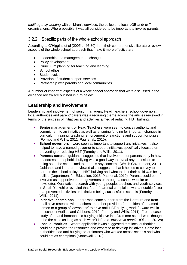*multi-agency working* with children's services, the police and local LGB and/ or T organisations. Where possible it was all considered to be important to involve parents.

#### 3.2.2 Specific parts of the whole school approach

According to O'Higgins et al (2005 p. 46-50) from their comprehensive literature review aspects of the whole school approach that make it more effective are:

- Leadership and management of change
- Policy development
- Curriculum planning for teaching and learning
- School ethos
- **•** Student voice
- Provision of student support services
- Partnership with parents and local communities

A number of important aspects of a whole school approach that were discussed in the evidence review are outlined in turn below.

#### **Leadership and involvement**

Leadership and involvement of senior managers, Head Teachers, school governors, local authorities and parent/ carers was a recurring theme across the articles reviewed in terms of the success of initiatives and activities aimed at reducing HBT bullying.

- **Senior management or Head Teachers** were seen to convey authority and commitment to an initiative as well as ensuring funding for important changes in curriculum, training, teaching, enforcement of sanctions and support for pupils (Formby and Willis, 2011; Paul et al., 2010).
- **School governors** were seen as important to support any initiatives. It also helped to have a named governor to support initiatives specifically focused on preventing or reducing HBT (Formby and Willis, 2011).
- **Parents/ carers** guidance suggested that involvement of parents early in how to address homophobic bullying was a good way to reveal any opposition to doing so at the school and to address any concerns (Welsh Government, 2011). Guidance and literature reviewed also suggested that it helped to convey to parents the school policy on HBT bullying and what to do if their child was being bullied (Department for Education, 2013; Paul et al. 2010). Parents could be involved as supportive parent governors or through a school website or newsletter. Qualitative research with young people, teachers and youth services in South Yorkshire revealed that fear of parental complaints was a notable factor that prevented activities or initiatives being successful in schools (Formby and Willis, 2011).
- **Initiative 'champions'** there was some support from the literature and from qualitative research with teachers and other providers for the idea of a named person or a group of 'advocates' to drive anti-HBT bullying work forward within the school (Morillas and Gibbons, 2010; Formby and Willis, 2011). From a case study of an anti-homophobic bullying initiative in a Grammar school was thought to be the case as long as such wasn't left to a *'few brave people'* (Ofsted, 2012a).
- **Local authorities** where applicable it was suggested that local authorities could help provide the resources and expertise to develop initiatives. Some local authorities had anti-bullying co-ordinators who worked across schools and who could act as champions (Stonewall, 2013).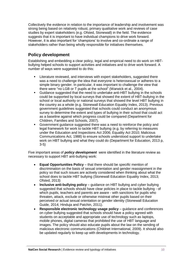Collectively the evidence in relation to the importance of leadership and involvement was strong being based on relatively robust, primary qualitative work and reviews of case studies by expert stakeholders (e.g. Ofsted, Stonewall) in the field. The evidence suggests that it is important to have individual champions to drive work forward. However, it is also important for 'champions' to involve and co-ordinate a range of stakeholders rather than being wholly responsible for initiatives themselves.

#### **Policy development**

Establishing and embedding a clear policy, legal and empirical need to do work on HBTbullying helped schools to support activities and initiatives and to drive work forward. A number of ways were suggested to do this:

- Literature reviewed, and interviews with expert stakeholders, suggested there was a need to challenge the idea that everyone is heterosexual or adheres to a simple binary gender. In particular, it was important to challenge the view that there were "no LGB or T pupils at the school" (Warwick et al., 2004).
- Guidance suggested that the need to undertake anti-HBT bullying in the schools could be supported by local surveys that showed the extent of HBT-bullying in the school or local authority or national surveys that showed the level HBT bullying in the country as a whole (e.g. Stonewall Education Equality Index, 2013). Previous government guidelines suggested that schools could conduct an anonymous survey to determine the extent and types of bullying in their school that could act as a baseline against which progress could be compared (Department for Children, Families and Schools, 2007).
- Government guidance suggested there was a need to reinforce the policy and legal framework for work to tackle HBT bullying (e.g. by referring to measures under the Education and Inspections Act 2006; Equality Act 2010; Malicious Communications Act, 1988) to ensure schools understood support to undertake work on HBT bullying and what they could do (Department for Education, 2013 p, 3-5)

Five important areas of *policy development* were identified in the literature review as necessary to support HBT anti-bullying work:

- **Equal Opportunities Policy**  that there should be *specific* mention of discrimination on the basis of sexual orientation and gender reassignment in the policy so that such issues are actively considered when thinking about what the school does to tackle HBT bullying (Stonewall Education Equality Index, 2013; Ofsted, 2013)
- **Inclusive anti-bullying policy**  guidance on HBT bullying and cyber bullying suggested that schools should have clear policies in place to tackle bullying - of which pupils, teachers and parents are aware - with sanctions for pupils who threaten, attack, exclude or otherwise mistreat other pupils based on their perceived or actual sexual orientation or gender identity (Stonewall Education Guide, 2014; Hinduja and Patchin, 2011).
- **Responsible electronic technology usage policy** guidance and conferences on cyber bullying suggested that schools should have a policy agreed with students on acceptable and appropriate use of technology such as laptops, mobile phones, digital cameras that prohibited the use of HBT language and images. The policy should also educate pupils about the law on the sending of malicious electronic communications (Childnet International, 2009). It should also be updated regularly to keep up with developments in technology.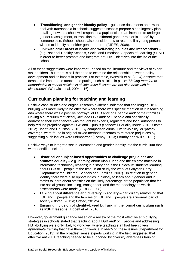- **'Transitioning' and gender identity policy** guidance documents on how to deal with transphobia in schools suggested schools prepare a contingency plan detailing how the school will respond if a pupil declares an intention to undergo gender reassignment, to transition to a different gender role or is 'outed' by someone else. Schools should also consider how to respond if a young person wishes to identify as neither gender or both (GIRES, 2008).
- **Link with other areas of health and well-being policies and interventions** (e.g. National Healthy Schools, Social and Emotional Aspects of Learning (SEAL) in order to better promote and integrate anti-HBT-initiatives into the life of the school.

All of these suggestions were important - based on the literature and the views of expert stakeholders - but there is still the need to examine the relationship between policy development and its impact in practice. For example, Warwick et al. (2004) observe that, despite the importance attached to putting such policies in place: *'Making mention of homophobia in school policies is of little value if issues are not also dealt with in classrooms'* (Warwick et al, 2004 p.16).

#### **Curriculum planning for teaching and learning**

Positive case studies and original research evidence indicated that challenging HBTbullying was more likely to be effective where there was specific mention of it in teaching *and* where there was a positive portrayal of LGB and/ or T people and/ or their families. Having a curriculum that clearly *included* LGB and/ or T people and specifically addressed their experiences was thought by experts, regulators and local authorities to help reduce prejudice against LGB and T pupils (Stonewall Equality Index, 2013; Ofsted, 2012; Tippett and Houlston, 2010). By comparison curriculum 'invisibility' or 'patchy coverage' were found in original mixed methods research to reinforce prejudices by suggesting such issues were unimportant (Formby, 2013; Formby and Willis, 2011).

Positive ways to integrate sexual orientation and gender identity into the curriculum that were identified included:

- **Historical or subject-based opportunities to challenge prejudices and promote equality** – e.g. learning about Alan Turing and the enigma machine in information technology lessons; in history about the Holocaust students learning about LGB or T people of the time; in art study the work of Grayson Perry (Department for Children, Schools and Families, 2007) . In relation to gender identity there were also opportunities in biology to learn about gender and in maths to learn about statistics on the likely percentage of the population that feel into social groups including, transgender, and the methodology on which assessments were made (GIRES, 2008).
- **Talking about difference and diversity in society** particularly reinforcing that LGB and T people and the families of LGB and T people are a 'normal' part of society (Ofsted, 2012a; Ofsted, 2012b).
- **Ensuring inclusion of identity-based bullying in the formal curriculum such as PSHE lessons** (Tippett et al., 2010).

However, government guidance based on a review of the most effective anti-bullying strategies in schools stated that teaching about LGB and/ or T people and addressing HBT-bullying were only likely to work well where teaching staff had been given *appropriate training* that gave them *confidence to teach* on these issues (Department for Education, 2013). In the broadest sense experts working in the field suggested that effective anti-HBT teaching needed to be supported by diversity awareness training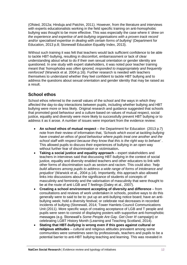(Ofsted, 2012a; Hinduja and Patchin, 2011). However, from the literature and interviews with experts educationalists working in the field specific training on anti-homophobic bullying was thought to be more effective. This was especially the case where it '*drew on the experience and expertise of anti-bullying organisations with a proven track record and/or specialised expertise in dealing with certain forms of bullying'* (Department for Education, 2013 p.8; Stonewall Education Equality Index, 2013).

Without such training it was felt that teachers would lack sufficient confidence to be able to tackle HBT-bullying, resulting in discomfort, embarrassment or lack of clear understanding about what to do if their own sexual orientation or gender identity are questioned. In one study with expert stakeholders, it was noted poor teacher training meant that *'homophobia was often ignored, responded to inappropriately and frequently reinforced'* (Warwick et al. 2004 p.16). Further research is needed with teachers themselves to understand whether they feel confident to tackle HBT bullying and to address the questions about sexual orientation and gender identity that may be raised as a result.

#### **School ethos**

School ethos referred to the overall values of the school and the ways in which they affected the day-to-day interactions between pupils, including whether bullying and HBT bullying were more or less likely. Original research and guidance suggested that schools that promoted good behaviour and a culture based on values of mutual respect, social justice, equality and diversity were more likely to successfully prevent HBT bullying or to address it as it arose. A number of issues were important from the evidence review:

- **An school ethos of mutual respect**  the Department for Education (2013 p.7) note from their review of information that, *'Schools which excel at tackling bullying have created an ethos of good behaviour where pupils treat one another and the school staff with respect because they know that this is the right way to behave'* . This allowed pupils to discuss their experiences of bullying in an open way without further fear of discrimination or victimisation**.**
- **Taking a social justice and equality approach** expert stakeholders and teachers in interviews said that discussing HBT-bullying in the context of social justice, equality and diversity enabled teachers and other educators to link with other forms of discrimination such as sexism and racism. This could also: *'help build alliances among pupils to address a wide range of forms of intolerance and prejudice'* (Warwick et al., 2004 p.14). Importantly, this approach also allowed links into discussions about the significance of students of concepts of masculinity and femininity and the valorisation of masculinity that were thought to be at the route of anti LGB and T feelings (Daley et al., 2007).
- **Creating a school environment accepting of diversity and difference**  from consultations and reviews of work undertaken in schools, positive ways to do this generally were to said to be to: put up an anti-bullying notice board; have an antibullying week; hold a diversity festival; or celebrate real decreases in recorded incidents of bullying (Stonewall, 2014; Tower Hamlets Council Communications Unit (2011). More specific ways of creating acceptance of LGB and T people and pupils were seen to consist of displaying posters with supportive anti-homophobic messages (e.g. Stonewall's *Some People Are Gay. Get Over It!* campaign) or celebrating LGBT History Month (Learning and Teaching Scotland, 2014).
- **Stating that HBT-***bullying* **is wrong even if this goes against cultural or religious attitudes** – cultural and religious attitudes prevalent among some communities were sometimes seen by professionals, teachers and pupils to be a potential barrier to anti-HBT bullying teaching and learning. This was revealed in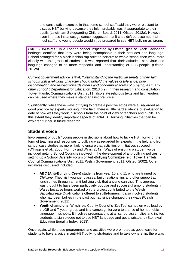one consultative exercise in that some school staff said they were reluctant to discuss HBT bullying because they felt it probably wasn't appropriate to their pupils (Lewisham Safeguarding Children Board, 2011; Ofsted, 2012a). However, even in these instances guidance suggested that it shouldn't be assumed that most staff and young people wouldn't be prepared to see HBT bullying as wrong.

**CASE EXAMPLE:** In a London school inspected by Ofsted, girls of Black Caribbean heritage identified that they were being homophobic in their attitudes and language. School arranged for a black lesbian rap artist to perform to whole school then work more closely with this group of students. It was reported that 'their attitudes, behaviour and language changed to be more respectful and understanding of LGB people' (Ofsted, 2012a).

Current government advice is that, *'Notwithstanding the particular tenets of their faith, schools with a religious character should uphold the values of tolerance, nondiscrimination and respect towards others and condemn all forms of bullying, as in any other school'* ( Department for Education, 2013 p.9). In their research and consultation Tower Hamlet Communications Unit (2011) also state religious texts and faith leaders can be used where they make a stand against prejudice.

Significantly, while these ways of trying to create a positive ethos were all regarded as good practice by experts working in the field, there is little hard evidence or evaluation to date of how well they work in schools from the point of view of teachers and pupils. To this extent they identify important aspects of anti-HBT bullying initiatives that can be explored further in future research.

#### **Student voice**

Involvement of pupils/ young people in decisions about how to tackle HBT bullying, the form of teaching and responses to bullying was regarded by experts in the field and from school case studies as more likely to ensure that activities or initiatives succeed (O'Higgins et al., 2005; Formby and Willis, 2012). Ways of ensuring a student voice included getting School Councils involved in the development of anti-bullying policies, or setting up a School Diversity Forum or Anti-Bullying Committee (e.g. Tower Hamlets Council Communications Unit, 2011; Welsh Government, 2011; Ofsted, 2002). Other initiatives discussed included:

- **ABC (Anti-Bullying Crew)** students from year 10 and 11 who are trained by *Childline*. They visit younger classes, build relationships and offer support at lunch times through an anti-bullying club that anyone can visit. This approach was thought to have been particularly popular and successful among students in Wales because hours worked on the project contributed to the Welsh Baccalaureate Qualifications offered to sixth-formers. It also involved students who had been bullies in the past but had since changed their ways (Welsh Government, 2011)
- **Youth champions**. Wiltshire's County Council's 'ZeeTee' campaign was lead by a LGB and T youth group and is a campaign for zero tolerance of homophobic language in schools. It involves presentations at all school assemblies and invites students to sign pledge not to use HBT language and get a wristband (Stonewall Education Equality Index, 2013).

Once again, while these programmes and activities were promoted as good ways for students to have a voice in anti-HBT bullying strategies and to take ownership, there was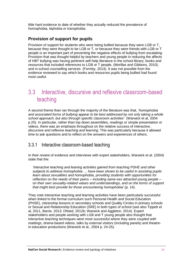little hard evidence to date of whether they actually reduced the prevalence of homophobia, biphobia or transphobia.

#### **Provision of support for pupils**

Provision of support for students who were being bullied because they were LGB or T, because they were thought to be LGB or T, or because they were friends with LGB or T people is an important part of preventing the negative effects of bullying from escalating. Provision that was thought helpful by teachers and young people in reducing the affects of HBT bullying was having pertinent self-help literature in the school library; books and resources that included references to LGB or T people, (Morillas and Gibbons, 2010); and in-school counselling services (Formby, 2013). It was not possible from the evidence reviewed to say which books and resources pupils being bullied had found most useful.

## 3.3 Interactive, discursive and reflexive classroom-based teaching

A second theme than ran through the majority of the literature was that, *'homophobia and associated forms of bullying appear to be best addressed by not only taking a whole school approach, but also through specific classroom activities'* (Warwick et al, 2004 p.25). In particular, rather than top down assemblies, readings or simple presentation or videos, there was an emphasis throughout on the relative success of *interactive, discursive and reflexive teaching and learning*. This was particularly because it allowed time to ask questions and to reflect on the answers and experiences of others.

### 3.3.1 Interactive classroom-based teaching

In their review of evidence and interviews with expert stakeholders, Warwick et al. (2004) state that the:

*'interactive teaching and leaning activities gained from teaching PSHE and other subjects to address homophobia…. have been shown to be useful in assisting pupils learn about sexualities and homophobia, providing students with opportunities for reflection on the needs of their peers – including same-sex attracted young people – on their own sexuality-related values and understandings, and on the forms of support that might best provide for those encountering homophobia'* (p. 14).

They note interactive teaching and learning activities have been particularly successful when linked to the formal curriculum such Personal Health and Social Education (PHSE), citizenship lessons in secondary schools and Quality Circles in primary schools or Sexual and Relationship Education (SRE) in both types of school (see also Tippett et al, 2011, Barrie, 2013; Ofsted, 2012b; Warwick and Aggleton, 2014). Expert stakeholders and people working with LGB and T young people also thought that interactive teaching techniques were most successful where they were *coupled with* readings, drama-based videos, talks by external visitors (including panels) and theatrein-education productions (Warwick et al., 2004 p. 24-25).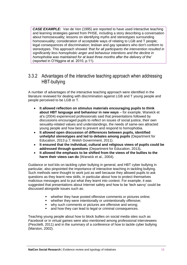*CASE EXAMPLE:* Van de Ven (1995) are reported to have used interactive teaching and learning strategies gained from PHSE, including a story describing a conversation about homosexuality; lessons on identifying myths and stereotypes surrounding homosexuality; consideration of acceptable ways of relating to LGB and T people; legal consequences of discrimination; lesbian and gay speakers who don't conform to stereotypes. This approach showed *'that for all participants the intervention resulted in significantly less homophobic anger and behaviour intentions and the decline in homophobia was maintained for at least three months after the delivery of the'*  (reported in O'Higgins et al. 2010, p.11).

## 3.3.2 Advantages of the interactive teaching approach when addressing HBT-bullying

A number of advantages of the interactive teaching approach were identified in the literature reviewed for dealing with discrimination against LGB and T young people and people perceived to be LGB or T.

- **It allowed reflection on stimulus materials encouraging pupils to think about HBT language and behaviour in new ways** – for example, Warwick et al's (2004) experienced professionals said that presentations followed by discussions encouraged pupils to *reflect* on issues of social justice, their own sexuality-related values and understandings, the needs of same-sex attracted young people and how best to prevent and respond to homophobia.
- **It allowed open discussion of differences between pupils, identified unhelpful stereotypes and led to debates among pupils** (Department for Education, 2013 p.7; Welsh Government, 2011).
- **It ensured that the individual, cultural and religious views of pupils could be addressed through questions** (Department for Education, 2013)**.**
- **It allowed the emphasis to be shifted from the views of the bullies to the harm their views can do** (Warwick et al., 2004).

Guidance or tool kits on tackling cyber bullying in general, and HBT cyber bullying in particular, also pinpointed the importance of interactive teaching in tackling bullying. Such methods were thought to work just as well because they allowed pupils to ask questions as they learnt new skills, in particular about how to protect themselves malicious messages and to put what they learnt into context. For example, it was suggested that presentations about Internet safety and how to be 'tech savvy' could be discussed alongside issues such as:

- whether they have posted offensive comments or pictures online;
- whether they were intentionally or unintentionally offensive;
- why such comments or pictures are offensive and wrong;
- and how they can lead to legal or criminal consequences.

Teaching young people about how to block bullies on social media sites such as *Facebook* or in virtual games were also mentioned among professional interviewees (Pescitelli, 2011) and in the summary of a conference of how to tackle cyber bullying (Marston, 2002).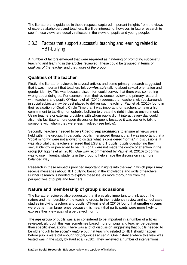The literature and guidance in these respects captured important insights from the views of expert stakeholders and teachers. It will be interesting, however, in future research to see if these views are equally reflected in the views of pupils and young people.

#### 3.3.3 Factors that support successful teaching and learning related to HBT-bullying

A number of factors emerged that were regarded as hindering or promoting successful teaching and learning in the articles reviewed. These could be grouped in terms of *qualities of the teacher* and the *nature of the group*.

#### **Qualities of the teacher**

Firstly, the literature reviewed in several articles and some primary research suggested that it was important that teachers felt *comfortable* talking about sexual orientation and gender identity. This was because discomfort could convey that there was something wrong about doing so. For example, from their evidence review and primary research with teachers and pupils O'Higgins et al. (2010) suggest that teachers with backgrounds in social subjects may be best placed to deliver such teaching. Paul et al. (2010) found in their evaluation of Quality Circle Time that it was important for teachers to have a high commitment to tackling homophobic bullying to create the right inclusive environment. Using teachers or external providers with whom pupils didn't interact every day could also help facilitate a more open discussion for pupils because it was easier to talk to someone with whom they were less involved (see below).

Secondly, teachers needed to be *skilled group facilitators* to ensure all views were held within the groups. In particular pupils interviewed thought that it was important that a 'vocal minority' were not allowed to dictate what is considered 'normal' in discussions. It was also vital that teachers ensured that LGB and T pupils, pupils questioning their sexual identity or perceived to be LGB or T were not made the centre of attention in the group (O'Higgins et al., 2010). One way recommended by Paul et al. (2010) to do this was to use influential students in the group to help shape the discussion in a more balanced way.

Research in these respects provided important insights into the way in which pupils may receive messages about HBT bullying based in the knowledge and skills of teachers. Further research is needed to explore these issues more thoroughly from the perspectives of pupils and teachers.

#### **Nature and membership of group discussions**

The literature reviewed also suggested that it was also important to think about the nature and membership of the teaching group. In their evidence review and school case studies involving teachers and pupils, O'Higgins et al (2010) found that **smaller groups** were better than larger ones because this meant that participants were more likely to express their view against a perceived 'norm'.

The **age group** of pupils was also considered to be important in a number of articles reviewed, although this was sometimes based more on pupil and teacher perceptions than specific evaluations. There was a lot of discussion suggesting that pupils needed to be old enough to be *socially mature* but that teaching related to HBT should happen before pupils were old enough for *prejudices to set in*. One instance where this view was tested was in the study by Paul et al (2010). They reviewed a number of interventions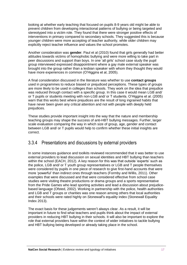looking at whether early teaching that focused on pupils 8-9 years old might be able to prevent children from developing interactional patterns of bullying or being targeted and stereotyped into a victim role. They found that there were stronger positive effects of interventions in primary compared to secondary schools. They suggested this is because younger children were more accepting of teacher authority, while older children may explicitly reject teacher influence and values the school promotes.

Another consideration was **gender**. Paul et al (2010) found that girls generally had better attitudes towards victims of homophobic bullying and were more willing to take part in peer discussions and support than boys. In one 'all girls' school case study the pupil group interviewed expressed disappointment where a gay male external speaker was brought into the group rather than a lesbian speaker with whom they thought they would have more experiences in common (O'Higgins et al, 2005).

A final consideration discussed in the literature was whether to use **contact groups** used in programmes to reduce biased or prejudiced perceptions. These types of groups are more likely to be used in colleges than schools. They work on the idea that prejudice was reduced through contact with a specific group. In this case it would mean LGB and/ or T pupils or students meeting with non-LGB and/ or T students. O'Higgins et al. (2005) warn that this works best where prejudices are the result of long ingrained habits that have never been given any critical attention and not with people with deeply held prejudices.

These studies provide important insight into the way that the nature and membership teaching groups may shape the success of anti-HBT bullying messages. Further, larger scale evaluation comparing the way in which size of group, age, gender and contact between LGB and/ or T pupils would help to confirm whether these initial insights are correct.

#### 3.3.4 Presentations and discussions by external providers

In some instances guidance and toolkits reviewed recommended that it was better to use external providers to lead discussion on sexual identities and HBT bullying than teachers within the school (EACH, 2012). A key reason for this was that outside 'experts' such as the police, LGB and/ or T youth group representatives or LGB and T people themselves were considered by pupils in one piece of research to give first-hand accounts that were more 'powerful' than indirect ones through teachers (Formby and Willis, 2011). Other examples that were discussed and that were considered effective from school case studies were visiting theatre productions or drama groups and a sports representative from the Pride Games who lead sporting activities and lead a discussion about prejudicebased language (Ofsted, 2002). Working in partnership with the police, health authorities and LGB and T groups or charities was one reason among others that local authorities and their schools were rated highly on *Stonewall*'s equality index (Stonewall Equality Index 2013).

The exact basis for these judgements weren't always clear. As a result, it will be important in future to find what teachers and pupils think about the impact of external providers in reducing HBT bullying in their schools. It will also be important to explore the role that external providers have within the context of wider initiatives to tackle bullying and HBT bullying being developed or already taking place in the school.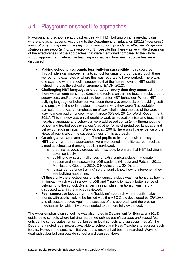## 3.4 Playground or school life approaches

Playground and school life approaches deal with HBT bullying on an everyday basis where and as it happens. According to the Department for Education (2011) '*most direct forms of bullying happen in the playground and school grounds, so effective playground strategies are important for prevention'* (p. 3). Despite this there was very little discussion of the effectiveness of the approaches that were mentioned compared to the whole school approach and interactive teaching approaches. Four main approaches were discussed:

- **Making school playgrounds less bullying susceptible** this could be through physical improvements to school buildings or grounds, although there we found no examples of where this was reported to have worked. There was one example where a toolkit suggested that the fast removal of HBT graffiti helped improve the school environment (EACH, 2012).
- **Challenging HBT language and behaviour every time they occurred** here there was an emphasis in guidance and toolkits on training teachers, playground supervisors, and/ or older pupils to look out for HBT behaviour. Where HBT bullying language or behaviour was seen there was emphasis on providing staff and pupils with the skills to step in to explain why they weren't acceptable. In particular there was an emphasis on *always* challenging the use of the word 'gay' to mean bad or 'uncool' when it arose (Ofsted, 2012b; Welsh Government, 2011). This strategy was only thought to work by educationalists and teachers if negative language and behaviour were addressed *consistently* throughout the school and treated *equally seriously* as other forms of prejudiced language and behaviour such as racism (Warwick et al., 2004).There was little evidence of the views of pupils about the successfulness of this approach.
- **Creating advocates among staff and pupils to intervene where they see HBT bullying** – three approaches were mentioned in the literature, in toolkits aimed at schools and among pupils interviewed:
	- o creating 'advocacy groups' within schools to ensure that HBT-bullying is taken seriously;
	- o building 'gay-straight alliances' or extra-curricula clubs that create support and safe spaces for LGB students (Hinduja and Patchin, 2011; Morillas and Gibbons. 2010; O'Higgins et al., 2010); and
	- o 'bystander defense training' so that pupils know how to intervene if they see bullying happening.

Of these only the effectiveness of extra-curricula clubs was mentioned as having an impact, which was in allowing LGB and T pupils to have a better sense of belonging to the school. Bystander training, while mentioned, was hardly discussed at all in the articles reviewed.

 **Peer support or buddying** – one 'buddying' approach where pupils make friends with pupils likely to be bullied was the ABC Crew developed by *Childline* and discussed above. Again, the success of this approach and the precise mechanism by which it worked needed to be more fully evidenced.

The wider emphasis on school life was also noted in Department for Education (2013) guidance to schools where bullying happened *outside the playground and schoo*l (e.g. outside the school gates, on school buses, in local schools and via social media). The Department noted legal powers available to schools and Head Teachers to address such issues. However, no specific initiatives in this respect had been researched. Ways to deal with cyber bullying outside school are discussed above.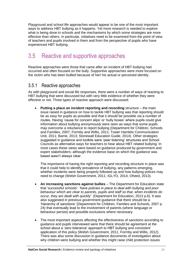Playground and school life approaches would appear to be one of the most important ways to address HBT bullying as it happens. Yet more research is needed to explore what is being done in schools and the mechanisms by which some strategies are more effective than others. In particular, initiatives need to be examined from the point of view of teachers and pupils involved in them and from the perspective of pupils who have experienced HBT bullying.

## 3.5 Reactive and supportive approaches

Reactive approaches were those that came *after* an incident of HBT-bullying had occurred and often focused on the bully. Supportive approaches were more focused on the victim who has been bullied because of her/ his actual or perceived identity.

#### 3.5.1 Reactive approaches

As with playground and social life responses, there were a number of ways of reacting to HBT-bullying that were discussed but with very little evidence of whether they were effective or not. Three types of reactive approach were discussed:

 **Putting a place an incident reporting and recording** structure – the main issue raised in guidance on how to tackle HBT bullying was that reporting should be as *easy* for pupils as possible and that it should be possible via a number of routes. Having 'cause for concern slips' or 'bully boxes' where pupils could give information about bullying *anonymously* were seen as ways that some pupils may overcome a reluctance to report bullying (Department for Children, Schools and Families, 2007; Formby and Willis, 2011; Tower Hamlets Communication Unit, 2011; Barrie, 2013; Stonewall Education Guide, 2014). Other strategies suggested in guidance and toolkits were 'peer listening' structures and School Councils as alternative ways for teachers to hear about HBT related bullying. In most cases these views were based on guidance produced by government and expert stakeholders; although the evidence base on which the guidance was based wasn't always clear.

The importance of having the right reporting and recording structure in place was that it could help to identify prevalence of bullying, any patterns emerging, whether incidents were being properly followed up and how bullying polices may need to change (Welsh Government, 2011; IGLYO, 2014; Ofsted, 2013).

- **An increasing sanctions against bullies** The Department for Education state that 'successful schools': *'have policies in place to deal with bullying and poor behaviour which are clear to parents, pupils and staff so that, when incidents do occur, they are dealt with quickl*y' (Department for Education, 2013 p.6). It was also suggested in previous government guidance that there should be a 'hierarchy of sanctions' (Department for Children, Families and Schools, 2007 p. 24) that eventually lead to the involvement of parents (where language or behaviour persist) and possible exclusions where necessary.
- The most important aspects affecting the effectiveness of sanctions according to guidance and pupils interviewed were that there should be agreement at the school about a 'zero tolerance' approach to HBT bullying and *consistent* application of this policy (Welsh Government, 2011; Formby and Willis, 2012). There was also some discussion in guidance documents of investigation about why children were bullying and whether this might raise child protection issues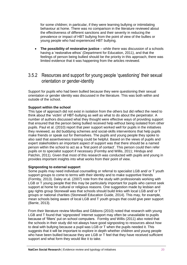for some children; in particular, if they were learning bullying or intimidating behaviour at home. There was no comparison in the literature reviewed about the effectiveness of different sanctions and their severity in reducing the prevalence or impact of HBT bullying from the point of view of the bullies or young people who had experienced HBT bullying.

 **The possibility of restorative justice** – while there was discussion of a schools having a 'restorative ethos' (Department for Education, 2011), and that the feelings of person being bullied should be the priority in this approach, there was limited evidence that it was happening from the articles reviewed.

#### 3.5.2 Resources and support for young people 'questioning' their sexual orientation or gender-identity

Support for pupils who had been bullied because they were questioning their sexual orientation or gender identity was discussed in the literature. This was both within and outside of the school.

#### **Support within the school**

This type of approach did not exist in isolation from the others but did reflect the need to think about the 'victim' of HBT-bullying as well as what to do about the perpetrator. A number of authors discussed what they thought were effective ways of providing support that ensured that the person being bullied received help without being isolated from other pupils. Paul et al. (2010) report that peer support worked well for pupils in the initiatives they reviewed, as did buddying schemes and social-skills interventions that help pupils make friends or speak out for themselves. The pupils and young people they spoke to also said that assertiveness training could be helpful. Based on the views of pupils and expert stakeholders an important aspect of support was that there should be a named person within the school to act as a 'first point of contact'. This person could then refer pupils on to specialist support if necessary (Formby and Willis, 2011; Hinduja and Patchin, 2011). Given that most of this research was conducted with pupils and young in provides important insights into what works from their point of view.

#### **Signposting to external support**

Some pupils may need individual counselling or referral to specialist LGB and/ or T youth support groups to come to terms with their identity and to make supportive friends (Formby, 2013). Daley et al. (2007) note from the study with professionals working with LGB or T young people that this may be particularly important for pupils who cannot seek support at home for cultural or religious reasons. One suggestion made by lesbian and gay rights group Stonewall was that schools should build links with local LGB and/ or T groups or national charities (Stonewall Education Guide, 2014). This may, for example, mean schools being aware of local LGB and T youth groups that could give peer support (Barrie, 2013).

From their literature review Morillas and Gibbons (2010) noted that research with young LGB and T found that 'signposted' Internet support may often be unavailable to pupils because of 'filters' put on school computers. Formby and Willis (2011) also noted that the schools in their study did not always have good signposting to resources about how to deal with bullying because a pupil was LGB or T when the pupils needed it. This suggests that it will be important to explore in depth whether children and young people who have been bullied because they are LGB or T feel that they have received sufficient support and what form they would like it to take.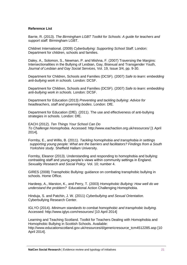#### **Reference List**

Barrie, R. (2013). *The Birmingham LGBT Toolkit for Schools: A guide for teachers and support staff.* Birmingham LGBT.

Childnet International. (2009) *Cyberbullying: Supporting School Staff.* London: Department for children, schools and families.

Daley, A., Solomon, S., Newman, P. and Mishna, F. (2007) Traversing the Margins: Intersectionalities in the Bullying of Lesbian, Gay, Bisexual and Transgender Youth, *Journal of Lesbian and Gay Social Services*, Vol. 19, Issue 3/4, pp. 9-30.

Department for Children, Schools and Families (DCSF). (2007) *Safe to learn: embedding anti-bullying work in schools.* London: DCSF.

Department for Children, Schools and Families (DCSF). (2007) *Safe to learn: embedding anti-bullying work in schools.* London: DCSF.

Department for Education (2013) *Preventing and tackling bullying: Advice for headteachers, staff and governing bodies*. London: DfE.

Department for Education (DfE). (2011). The use and effectiveness of anti-bullying strategies in schools. London: DfE.

EACH (2012). *Ten Things Your School Can Do To Challenge Homophobia.* Accessed: http://www.eachaction.org.uk/resources/ [1 April 2014].

Formby, E., and Willis, B. (2011). *Tackling homophobia and transphobia in settings supporting young people: What are the barriers and facilitators? Findings from a South Yorkshire study.* Sheffield Hallam University.

Formby, Eleanor (2013). Understanding and responding to homophobia and bullying: contrasting staff and young people's views within community settings in England. *Sexuality Research and Social Policy.* Vol. 10; number 4.

GIRES (2008) Transphobic Bullying: guidance on combating transphobic bullying in schools. Home Office.

Hardeep, A., Marston, K., and Perry, T. (2003) *Homophobic Bullying: How well do we understand the problem?* Educational Action Challenging Homophobia.

Hinduja, S. and Patchin, J. W. (2011) *Cyberbullying and Sexual Orientation.*  Cyberbullying Research Center.

IGLYO (2014). *Minimum standards to combat homophobic and transphobic bullying.* Accessed: http://www.iglyo.com/resources/ [10 April 2014]

Learning and Teaching Scotland. Toolkit for Teachers Dealing with Homophobia and Homophobic Bullying in Scottish Schools. Available: http://www.educationscotland.gov.uk/resources/d/genericresource\_tcm4512285.asp [10 April 2014].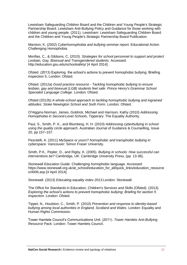Lewisham Safeguarding Children Board and the Children and Young People's Strategic Partnership Board. Lewisham Anti-Bullying Policy and Guidance for those working with children and young people. (2011). Lewisham: Lewisham Safeguarding Children Board and the Children and Young People's Strategic Partnership Board Publication.

Marston, K. (2002) *Cyberhomophobia and bullying seminar report.* Educational Action Challenging Homophobia.

Morillas, C., & Gibbons, C. (2010). *Strategies for school personnel to support and protect Lesbian, Gay, Bisexual and Transgendered students.* Accessed: http://education.gsu.edu/schoolsafety/ [4 April 2014].

Ofsted (2013) Exploring the school's actions to prevent homophobic bullying: Briefing inspection 5, London: Ofsted.

Ofsted. (2012a) *Good practice resource - Tackling homophobic bullying to ensure lesbian, gay and bisexual (LGB) students feel safe: Prince Henry's Grammar School Specialist Language College.* London: Ofsted.

Ofsted (2012b) *A whole-school approach to tackling homophobic bullying and ingrained attitudes: Stoke Newington School and Sixth Form.* London: Ofsted.

O'Higgins-Norman, James, Goldrick, Michael and Harrison, Kathy (2010) *Addressing Homophobia in Second-Level Schools*, Tipperary: The Equality Authority.

Paul, S., Smith, P. K., and Blumberg, H. H. (2010) *Addressing cyberbullying in school using the quality circle approach.* Australian Journal of Guidance & Counselling, Issue 20, pp 157–157.

Pescitelli, A. (2011) *MySpace or yours? homophobic and transphobic bullying in cyberspace.* Vancouver: Simon Fraser University.

Smith, P.K., Pepler, D., and Rigby, K. (2005). *Bullying in schools: How successful can interventions be?* Cambridge, UK: Cambridge University Press, (pp. 13-36).

Stonewall Education Guide. Challenging homophobic language. Accessed: https://www.stonewall.org.uk/at\_school/education\_for\_all/quick\_links/education\_resource s/4006.asp [4 April 2014].

Stonewall. (2013) *Educating equality index 2013.*London: Stonewall.

The Office for Standards in Education, Children's Services and Skills (Ofsted). (2013). *Exploring the school's actions to prevent homophobic bullying: Briefing for section 5 inspection.* London: Ofsted.

Tippet, N., Houlston, C., Smith, P. (2010) *Prevention and response to identity-based bullying among local authorities in England, Scotland and Wales.* London: Equality and Human Rights Commission.

Tower Hamlets Council's Communications Unit. (2011). *Tower Hamlets Anti-Bullying Resource Pack.* London: Tower Hamlets Council.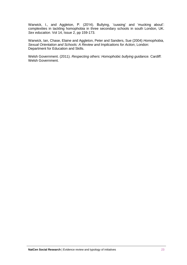Warwick, I., and Aggleton, P. (2014). Bullying, 'cussing' and 'mucking about': complexities in tackling homophobia in three secondary schools in south London, UK. *Sex education*. Vol 14, Issue 2, pp 159-173.

Warwick, Ian, Chase, Elaine and Aggleton, Peter and Sanders, Sue (2004) *Homophobia, Sexual Orientation and Schools: A Review and Implications for Action*, London: Department for Education and Skills.

Welsh Government. (2011). *Respecting others: Homophobic bullying guidance.* Cardiff: Welsh Government.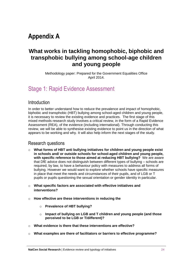## **Appendix A**

## **What works in tackling homophobic, biphobic and transphobic bullying among school-age children and young people**

Methodology paper: Prepared for the Government Equalities Office April 2014.

## Stage 1: Rapid Evidence Assessment

#### Introduction

In order to better understand how to reduce the prevalence and impact of homophobic, biphobic and transphobic (HBT) bullying among school-aged children and young people, it is necessary to review the existing evidence and practices. The first stage of this mixed methods research study involves a critical review, in the form of a Rapid Evidence Assessment (REA), of the evidence (including international). Through conducting this review, we will be able to synthesise existing evidence to point us in the direction of what appears to be working and why. It will also help inform the next stages of the study.

#### Research questions

- o **What forms of HBT anti bullying initiatives for children and young people exist in schools and/ or outside schools for school-aged children and young people, with specific reference to those aimed at reducing HBT bullying?** We are aware that DfE advice does not distinguish between different types of bullying – schools are required, by law, to have a behaviour policy with measures to address all forms of bullying. However we would want to explore whether schools have specific measures in place that meet the needs and circumstances of their pupils, and of LGB or T pupils or pupils questioning the sexual orientation or gender identity in particular.
- o **What specific factors are associated with effective initiatives and interventions?**
- o **How effective are these interventions in reducing the** 
	- o **Prevalence of HBT bullying?**
	- o **Impact of bullying on LGB and T children and young people (and those perceived to be LGB or T/different)?**
- o **What evidence is there that these interventions are effective?**
- o **What examples are there of facilitators or barriers to effective programme?**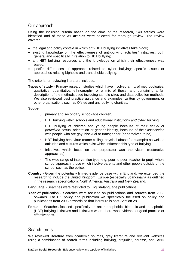#### Our approach

Using the inclusion criteria based on the aims of the research, 140 articles were identified and of these **31 articles** were selected for thorough review. The review covered:

- the legal and policy context in which anti-HBT bullying initiatives take place;
- existing knowledge on the effectiveness of anti-bullying activities/ initiatives, both general and specifically in relation to HBT bullying;
- anti-HBT bullying resources and the knowledge on which their effectiveness was based;
- specific differences of approach related to cyber bullying; specific issues or approaches relating biphobic and transphobic bullying.

The criteria for reviewing literature included:

**Types of study** - Primary research studies which have involved a mix of methodologies: qualitative, quantitative, ethnography, or a mix of these, and containing a full description of the methods used including sample sizes and data collection methods. We also reviewed best practice guidance and examples, written by government or other organisations such as Ofsted and anti-bullying charities.

#### **Scope**

- o primary and secondary school-age children,
- o HBT bullying within schools and educational institutions *and* cyber bullying,
- o HBT bullying of children and young people because of their *actual* or *perceived* sexual orientation or gender identity, because of their *association*  with people who are gay, bisexual or transgender (or perceived to be),
- o HBT bullying behaviour (name calling, physical abuse for example) as well as attitudes and cultures which exist which influence this type of bullying.
- o Initiatives which focus on the perpetrator *and* the victim (restorative approaches),
- $\circ$  The wide range of intervention type, e.g. peer-to-peer, teacher-to-pupil, whole school approach, those which involve parents and other people outside of the school such as the police.
- **Country**  Given the potentially limited evidence base within England, we extended the research to include the United Kingdom, Europe (especially Scandinavia as outlined in the research specification), North America, Australia and New Zealand.

#### **Language** - Searches were restricted to English-language publications

- **Year of** publication Searches were focused on publications and sources from 2003 onwards. For UK policy and publication we specifically focussed on policy and publications from 2003 onwards so that literature is post-Section 28.
- **Focus** Searches focused specifically on anti-homophobic, biphobic and transphobic (HBT) bullying initiatives and initiatives where there was evidence of good practice or effectiveness.

#### Search terms

We reviewed literature from academic sources, grey literature and relevant websites using a combination of search terms including bullying, prejudic\*, harass\*, anti, AND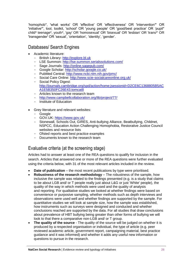'homophob\*, 'what works' OR 'effective' OR 'effectiveness' OR 'intervention\*' OR 'initiative\*', tool, toolkit, 'school' OR 'young people' OR 'good/best practice' OR 'pupil\* child\* teenage\*, youth\*, 'gay' OR 'homosexual' OR 'bisexual' OR 'lesbian' OR 'trans\*' OR 'transgender' OR 'sexual', 'orientation', 'identity', 'gender'.

#### Databases/ Search Engines

- Academic literature:
	- British Library: [http://explore.bl.uk](http://explore.bl.uk/)
	- LSE Summon:<http://lse.summon.serialssolutions.com/>
	- Sage Journals:<http://online.sagepub.com/>
	- Google Scholar:<http://scholar.google.co.uk/>
	- PubMed Central:<http://www.ncbi.nlm.nih.gov/pmc/>
	- Social Care Online:<http://www.scie-socialcareonline.org.uk/>
	- Social Policy Digest: [http://journals.cambridge.org/spd/action/home;jsessionid=D2CE6C1368805B5AC](http://journals.cambridge.org/spd/action/home;jsessionid=D2CE6C1368805B5ACA1E5B350FC26E43.tomcat8) [A1E5B350FC26E43.tomcat8](http://journals.cambridge.org/spd/action/home;jsessionid=D2CE6C1368805B5ACA1E5B350FC26E43.tomcat8)
	- Articles known to the research team
	- <http://www.campbellcollaboration.org/lib/project/77/>
	- Institute of Education
- Grey literature and relevant websites:
	- Google
	- GOV.UK:<https://www.gov.uk/>
	- Stonewall, Schools Out, GIRES, Anti-bullying Alliance, Beatbullying, Childnet, NSPCC, Education Action Challenging Homophobia, Restorative Justice Council websites and resource lists
	- Ofsted reports and best practice examples
	- Documents known to the research team

#### Evaluative criteria (at the screening stage)

Articles had to answer at least one of the REA questions to qualify for inclusion in the search. Articles that answered one or more of the REA questions were further evaluated using the criteria below, with 31 of the most relevant articles included in the review.

- **Date of publication** the most recent publications by type were prioritised.
- **Robustness of the research methodology** The robustness of the sample, how inclusive the sample was related to the findings presented (e.g. is a study that claims to be about LGB and/ or T people really just about L&G or just 'White' people), the quality of the way in which methods were used and the quality of analysis and reporting. For qualitative studies we looked at whether findings were based on convenience or purposive sampling, whether methods such as depth interviews and observations were used well and whether findings are supported by the sample. For quantitative studies we will look at sample size, how the sample was established, how instruments such as surveys were designed and conducted and whether conclusions reached are supported by the data. For all studies that draw conclusions about prevalence of HBT bullying being greater than other forms of bullying we will look to that there a comparative non-LGB and/ or T group.
- **The quality of the source** The quality of the source will be judged on whether it is produced by a respected organisation or individual, the type of article (e.g. peer reviewed academic article, government report, campaigning material, best practice guidance and it was informed) and whether it adds any useful new information or questions to pursue in the research.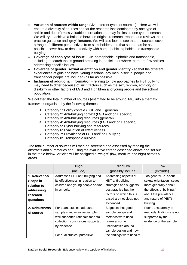- **Variation of sources within range** (viz. different types of sources) Here we will ensure a diversity of sources so that the research isn't dominated by one type of article and doesn't miss valuable information that may fall inside one type of search. We will try to achieve a balance between original research, reports and reviews, best practice guidance and 'grey' literature. We will also look to see that the sources cover a range of different perspectives from stakeholders and that source, as far as possible, cover how to deal effectively with homophobic, biphobic and transphobic bullying.
- **Coverage of each type of issue** viz. homophobic, biphobic and transphobic, including research that is ground breaking in the fields or where there are few articles addressing specific issues.
- **Coverage of gender, sexual orientation and gender identity -** so that the different experiences of girls and boys, young lesbians, gay men, bisexual people and transgender people are included (as far as possible)
- **Inclusion of additional information** relating to how approaches to HBT bullying may need to differ because of such factors such as the sex, religion, ethnicity or disability or other factors of LGB and T children and young people and the school population.

We collated the total number of sources (estimated to be around 140) into a thematic framework organised by the following themes:

- 1. Category 1: Policy context (LGB and T general)
- 2. Category 2: Anti-bullying context (LGB and/ or T specific)
- 3. Category 3: Anti-bullying resources (general)
- 4. Category 4: Anti-bullying resources (LGB and/ or T specific)
- 5. Category 5: Cyber bullying and resources
- 6. Category 6: Evaluation of effectiveness
- 7. Category 7: Prevalence of LGB and/ or T bullying
- 8. Category 8: Transphobic bullying

The total number of sources will then be screened and assessed by reading the abstracts and summaries and using the evaluative criteria described above and set out in the table below. Articles will be assigned a 'weight' (low, medium and high) across 5 areas.

|               | High                              | <b>Medium</b>             | Low                       |
|---------------|-----------------------------------|---------------------------|---------------------------|
|               | (include)                         | (possibly include)        | (exclude)                 |
| 1. Relevance/ | Addresses HBT anti-bullying and   | Addressing aspects of     | Too general i.e. about    |
| Scope in      | its effectiveness in relation to  | HBT anti-bullying         | sexual orientation issues |
| relation to   | children and young people and/or  | strategies and suggests   | more generally / about    |
| addressing    | in schools.                       | best practice but the     | the effects of bullying / |
| research      |                                   | factors on which this is  | about the prevalence      |
| questions     |                                   | based are not clear/ not  | and nature of (HBT)       |
|               |                                   | evidenced                 | bullying                  |
| 2. Robustness | For quant studies: adequate       | Suggests that good        | Poor transparency in      |
| of source     | sample size, inclusive sample,    | sample design and         | methods; findings are not |
|               | well supported rationale for data | methods were used         | supported by the          |
|               | collection, conclusions supported | however some              | evidence or the sample.   |
|               | by evidence.                      | uncertainties around      |                           |
|               |                                   | sample design and how     |                           |
|               | For qual studies: purposive       | the findings were used to |                           |